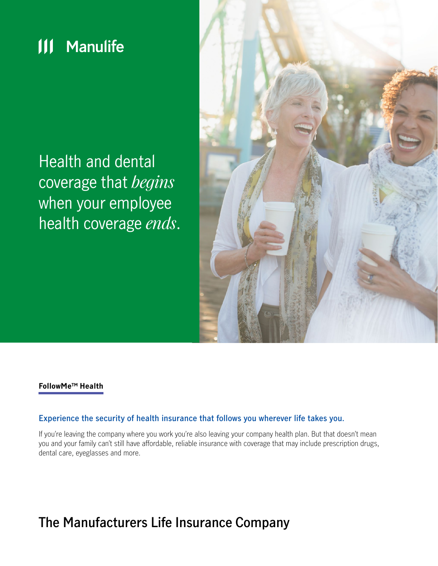

Health and dental coverage that *begins* when your employee health coverage *ends*.



### **FollowMeTM Health**

### **Experience the security of health insurance that follows you wherever life takes you.**

If you're leaving the company where you work you're also leaving your company health plan. But that doesn't mean you and your family can't still have affordable, reliable insurance with coverage that may include prescription drugs, dental care, eyeglasses and more.

# **The Manufacturers Life Insurance Company**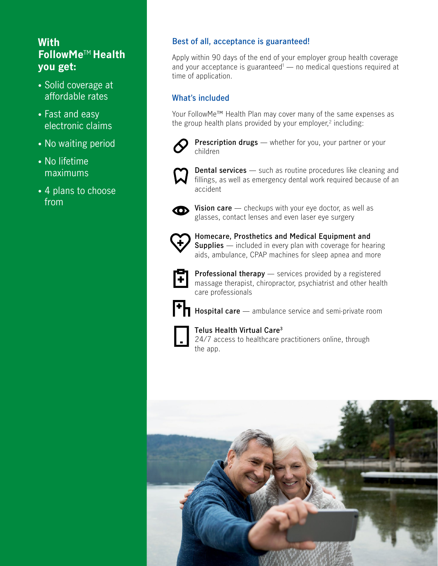## **With FollowMe**TM **Health you get:**

- Solid coverage at affordable rates
- Fast and easy electronic claims
- No waiting period
- No lifetime maximums
- 4 plans to choose from

## **Best of all, acceptance is guaranteed!**

Apply within 90 days of the end of your employer group health coverage and your acceptance is guaranteed<sup>1</sup> — no medical questions required at time of application.

## **What's included**

Your FollowMe™ Health Plan may cover many of the same expenses as the group health plans provided by your employer, $2$  including:



**Prescription drugs** — whether for you, your partner or your children



**Dental services** — such as routine procedures like cleaning and fillings, as well as emergency dental work required because of an accident



**•** Vision care — checkups with your eye doctor, as well as glasses, contact lenses and even laser eye surgery



**• Homecare, Prosthetics and Medical Equipment and Supplies** — included in every plan with coverage for hearing aids, ambulance, CPAP machines for sleep apnea and more



**• Professional therapy** — services provided by a registered massage therapist, chiropractor, psychiatrist and other health care professionals



**• Hospital care** — ambulance service and semi-private room



**• Telus Health Virtual Care3**

24/7 access to healthcare practitioners online, through the app.

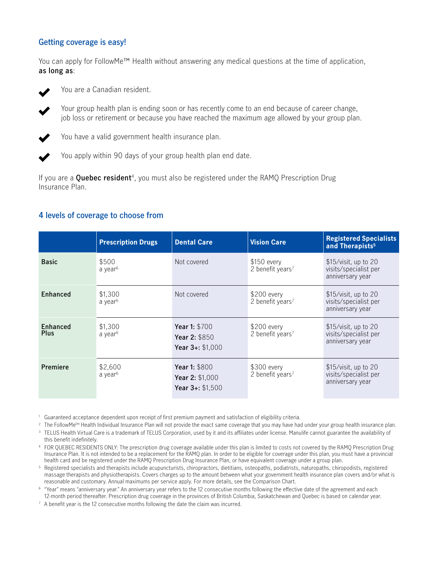## **Getting coverage is easy!**

You can apply for FollowMe™ Health without answering any medical questions at the time of application, **as long as**:



You are a Canadian resident.

• Your group health plan is ending soon or has recently come to an end because of career change, job loss or retirement or because you have reached the maximum age allowed by your group plan.

• You have a valid government health insurance plan.



• You apply within 90 days of your group health plan end date.

If you are a **Quebec resident**4, you must also be registered under the RAMQ Prescription Drug Insurance Plan.

## **4 levels of coverage to choose from**

|                         | <b>Prescription Drugs</b>      | <b>Dental Care</b>                                                       | <b>Vision Care</b>                           | <b>Registered Specialists</b><br>and Therapists <sup>5</sup>        |
|-------------------------|--------------------------------|--------------------------------------------------------------------------|----------------------------------------------|---------------------------------------------------------------------|
| <b>Basic</b>            | \$500<br>a year <sup>6</sup>   | Not covered                                                              | $$150$ every<br>2 benefit years <sup>7</sup> | $$15/visit$ , up to 20<br>visits/specialist per<br>anniversary year |
| Enhanced                | \$1,300<br>a year <sup>6</sup> | Not covered                                                              | \$200 every<br>2 benefit years <sup>7</sup>  | \$15/visit, up to 20<br>visits/specialist per<br>anniversary year   |
| Enhanced<br><b>Plus</b> | \$1,300<br>a year <sup>6</sup> | Year 1: \$700<br><b>Year 2: <math>\$850</math></b><br>Year $3 +: $1,000$ | $$200$ every<br>2 benefit years <sup>7</sup> | $$15/visit$ , up to 20<br>visits/specialist per<br>anniversary year |
| Premiere                | \$2,600<br>a year <sup>6</sup> | Year 1: \$800<br>Year 2: \$1,000<br>Year $3 +: $1,500$                   | $$300$ every<br>2 benefit years <sup>7</sup> | \$15/visit, up to 20<br>visits/specialist per<br>anniversary year   |

<sup>1</sup> Guaranteed acceptance dependent upon receipt of first premium payment and satisfaction of eligibility criteria.

<sup>2</sup> The FollowMe™ Health Individual Insurance Plan will not provide the exact same coverage that you may have had under your group health insurance plan. <sup>3</sup> TELUS Health Virtual Care is a trademark of TELUS Corporation, used by it and its affiliates under license. Manulife cannot guarantee the availability of

this benefit indefinitely.

4 FOR QUEBEC RESIDENTS ONLY: The prescription drug coverage available under this plan is limited to costs not covered by the RAMQ Prescription Drug Insurance Plan. It is not intended to be a replacement for the RAMQ plan. In order to be eligible for coverage under this plan, you must have a provincial health card and be registered under the RAMQ Prescription Drug Insurance Plan, or have equivalent coverage under a group plan.

5 Registered specialists and therapists include acupuncturists, chiropractors, dietitians, osteopaths, podiatrists, naturopaths, chiropodists, registered massage therapists and physiotherapists. Covers charges up to the amount between what your government health insurance plan covers and/or what is reasonable and customary. Annual maximums per service apply. For more details, see the Comparison Chart.

6 "Year" means "anniversary year." An anniversary year refers to the 12 consecutive months following the effective date of the agreement and each 12-month period thereafter. Prescription drug coverage in the provinces of British Columbia, Saskatchewan and Quebec is based on calendar year.

 $7$  A benefit year is the 12 consecutive months following the date the claim was incurred.